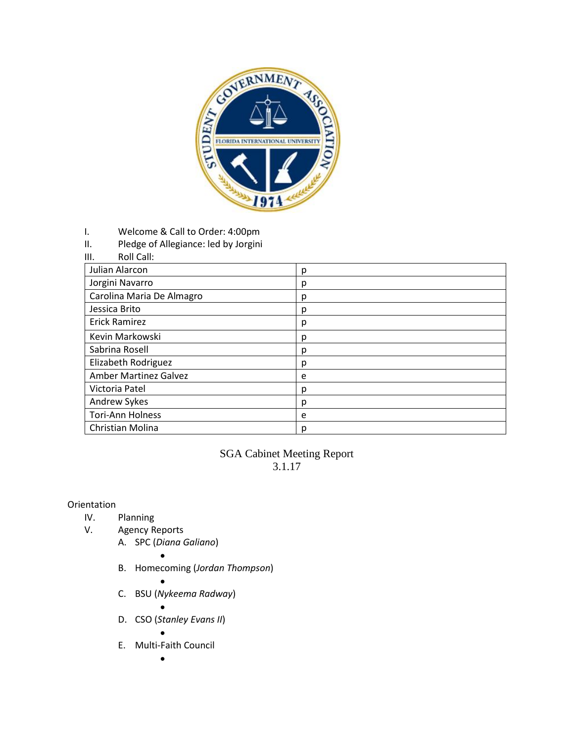

- I. Welcome & Call to Order: 4:00pm
- II. Pledge of Allegiance: led by Jorgini

| Roll Call:<br>Ш. |  |
|------------------|--|
|------------------|--|

| Julian Alarcon               | р |
|------------------------------|---|
| Jorgini Navarro              | р |
| Carolina Maria De Almagro    | Ŋ |
| Jessica Brito                | р |
| <b>Erick Ramirez</b>         | р |
| Kevin Markowski              | Ŋ |
| Sabrina Rosell               | р |
| Elizabeth Rodriguez          | р |
| <b>Amber Martinez Galvez</b> | e |
| Victoria Patel               | Ŋ |
| Andrew Sykes                 | р |
| <b>Tori-Ann Holness</b>      | e |
| Christian Molina             | Ŋ |

# SGA Cabinet Meeting Report 3.1.17

## Orientation

- IV. Planning
- V. Agency Reports
	- A. SPC (*Diana Galiano*)
	- $\bullet$ B. Homecoming (*Jordan Thompson*)
		- $\bullet$
	- C. BSU (*Nykeema Radway*)

 $\bullet$ 

D. CSO (*Stanley Evans II*)

 $\bullet$ 

E. Multi-Faith Council

 $\bullet$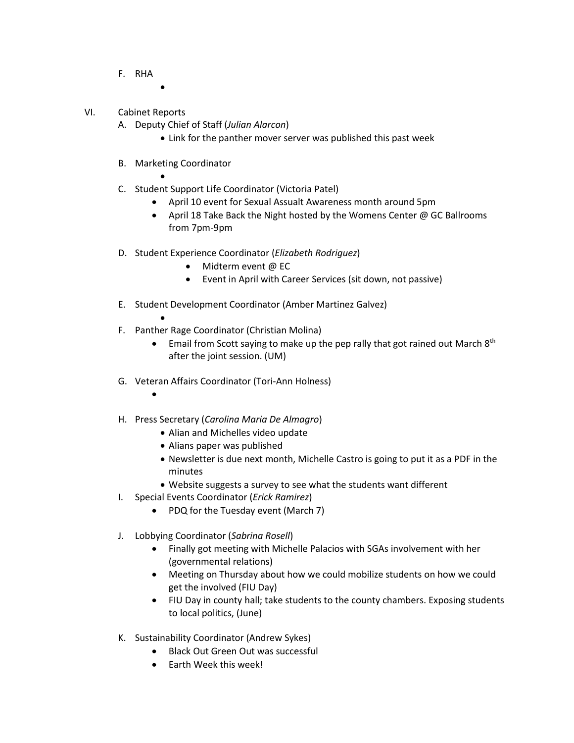- F. RHA
- VI. Cabinet Reports
	- A. Deputy Chief of Staff (*Julian Alarcon*)
		- Link for the panther mover server was published this past week
	- B. Marketing Coordinator

 $\bullet$ 

- $\bullet$ C. Student Support Life Coordinator (Victoria Patel)
	- April 10 event for Sexual Assualt Awareness month around 5pm
	- April 18 Take Back the Night hosted by the Womens Center @ GC Ballrooms from 7pm-9pm
- D. Student Experience Coordinator (*Elizabeth Rodriguez*)
	- Midterm event @ EC
	- Event in April with Career Services (sit down, not passive)
- E. Student Development Coordinator (Amber Martinez Galvez)
	- $\bullet$
- F. Panther Rage Coordinator (Christian Molina)
	- Email from Scott saying to make up the pep rally that got rained out March 8<sup>th</sup> after the joint session. (UM)
- G. Veteran Affairs Coordinator (Tori-Ann Holness)
	- $\bullet$
- H. Press Secretary (*Carolina Maria De Almagro*)
	- Alian and Michelles video update
	- Alians paper was published
	- Newsletter is due next month, Michelle Castro is going to put it as a PDF in the minutes
	- Website suggests a survey to see what the students want different
	- I. Special Events Coordinator (*Erick Ramirez*)
		- PDQ for the Tuesday event (March 7)
- J. Lobbying Coordinator (*Sabrina Rosell*)
	- Finally got meeting with Michelle Palacios with SGAs involvement with her (governmental relations)
	- Meeting on Thursday about how we could mobilize students on how we could get the involved (FIU Day)
	- FIU Day in county hall; take students to the county chambers. Exposing students to local politics, (June)
- K. Sustainability Coordinator (Andrew Sykes)
	- Black Out Green Out was successful
	- Earth Week this week!